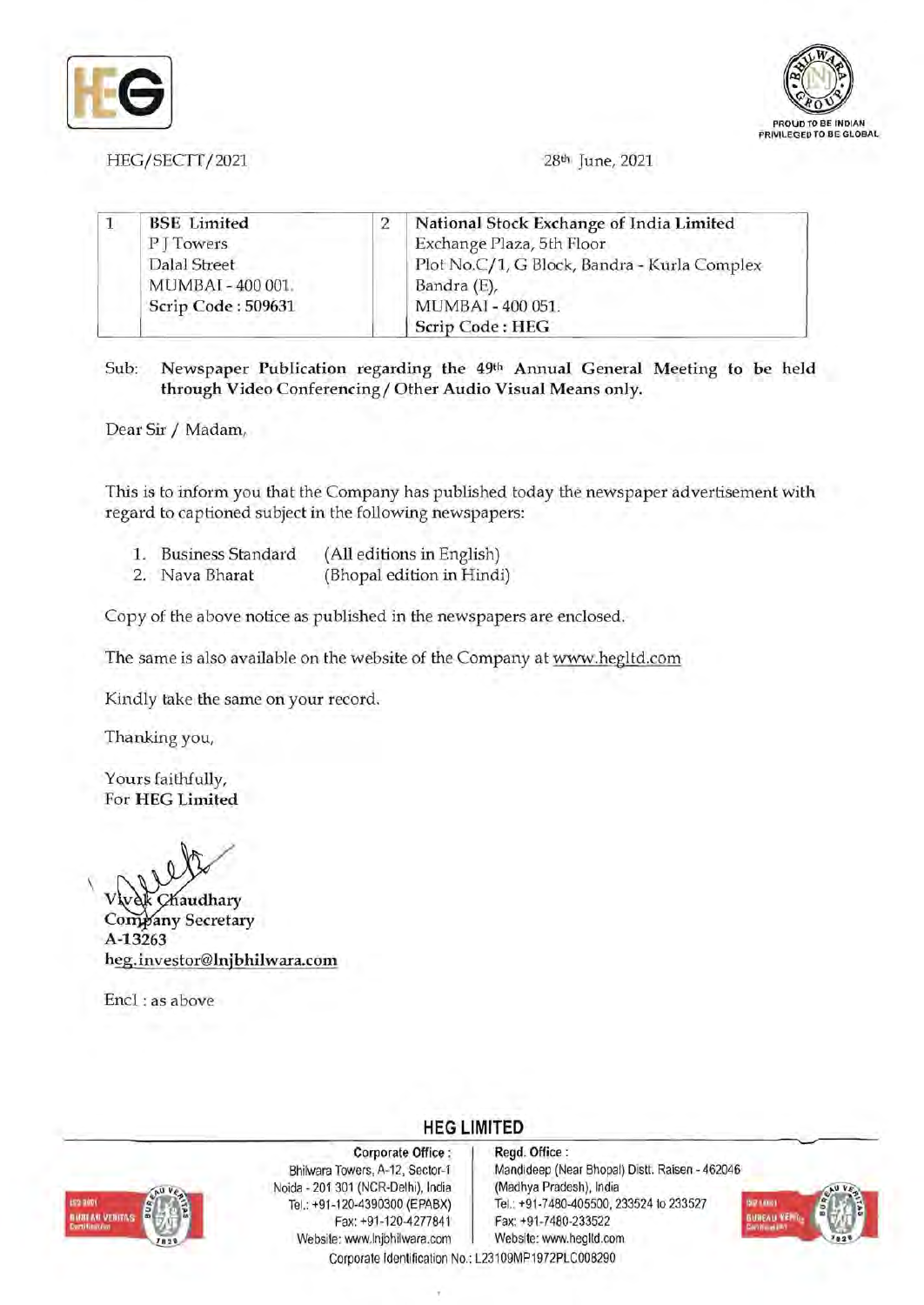



HEG/SECTT/2021 28<sup>th</sup> June, 2021

| <b>BSE</b> Limited | National Stock Exchange of India Limited     |
|--------------------|----------------------------------------------|
| PITowers           | Exchange Plaza, 5th Floor                    |
| Dalal Street       | Plot No.C/1, G Block, Bandra - Kurla Complex |
| MUMBAI-400 001.    | Bandra (E),                                  |
| Scrip Code: 509631 | MUMBAI - 400 051.                            |
|                    | Scrip Code: HEG                              |

Sub: Newspaper Publication regarding the 49th Annual General Meeting to be held through Video Conferencing / Other Audio Visual Means only.

Dear Sir / Madam,

This is to inform you that the Company has published today the newspaper advertisement with regard to captioned subject in the following newspapers:

- 1. Business Standard (All editions in English)
- 2. Nava Bharat (Bhopal edition in Hindi)

Copy of the above notice as published in the newspapers are enclosed.

The same is also available on the website of the Company at www.hegltd.com

Kindly take the same on your record.

Thanking you,

Yours faithfully, For HEG Limited

 $\overline{\phantom{a}}$ 

audhary Company Secretary A-13263 heg.investor@lnjbhilwara.com

Encl: as above



Corporate Office: Bhilwara Towers, A-12, Sector-1 Noida - 201 301 (NCR-Delhi), India Tel.: +91-120-4390300 (EPABX) Fax: +91-120-4277841 Website: www.lnjbhilwara.com

Regd. Office : Mandideep (Near Bhopal) Distt. Raisen - 462046 (Madhya Pradesh), India Tel.: +91-7480-405500, 233524 to 233527 Fax: +91-7480-233522 Website: www.hegltd.com



Corporate Identification No.: L23109MP1972PLC008290

**HEG LIMITED** 

----------------------------------------------------~~~--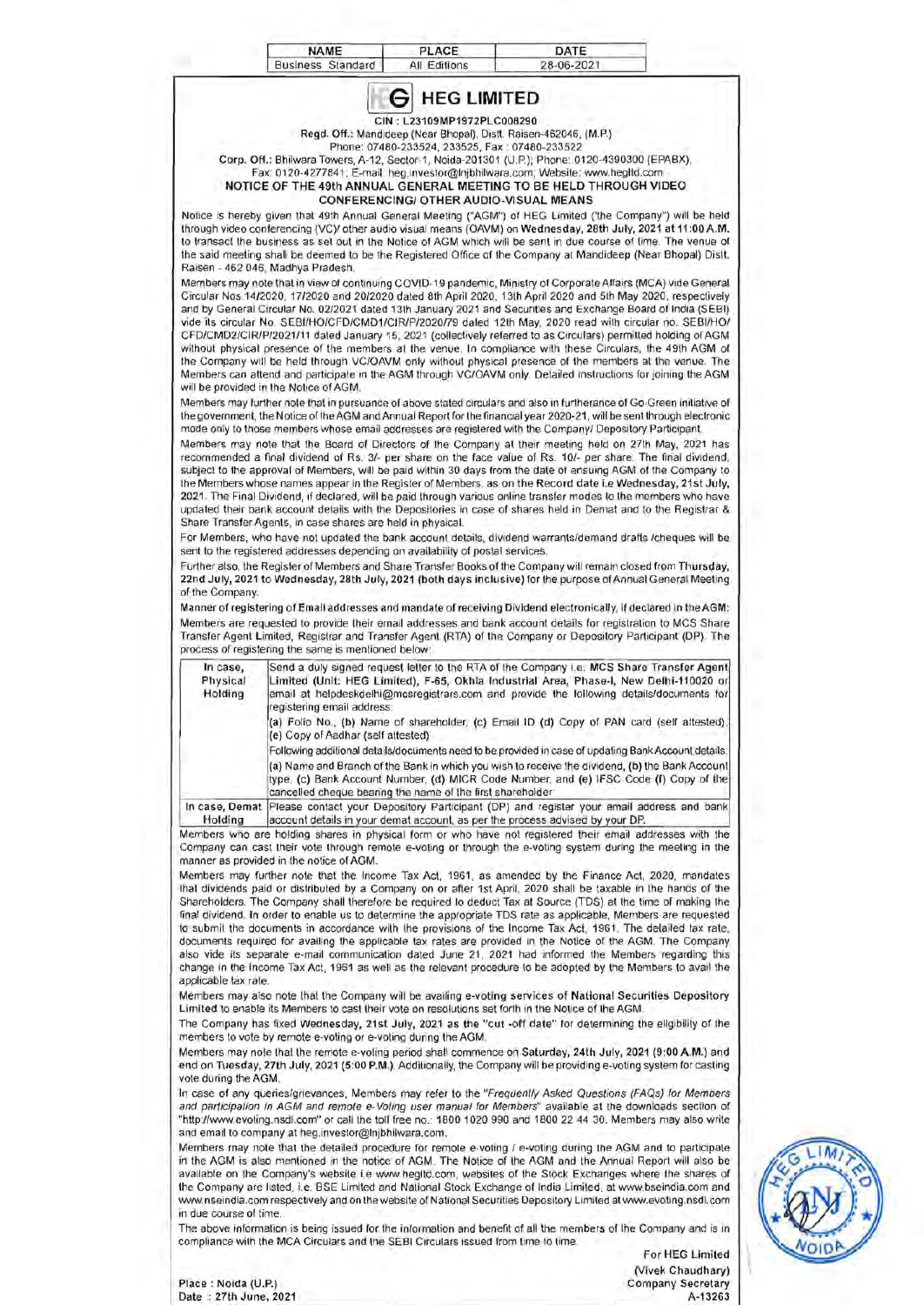| In case,<br>Physical<br>Holding<br>Holding                                                                                                                                                                                                                                                                                                         |                                                                  | <b>HEG LIMITED</b><br>G<br>CIN: L23109MP1972PLC008290 | Regd. Off.: Mandideep (Near Bhopal), Distt. Raisen-462046, (M.P.)<br>Phone: 07480-233524, 233525, Fax: 07480-233522<br>Corp. Off.: Bhilwara Towers, A-12, Sector-1, Noida-201301 (U.P.); Phone: 0120-4390300 (EPABX),<br>Fax: 0120-4277841; E-mail: heg.investor@Injbhilwara.com; Website: www.hegitd.com<br>NOTICE OF THE 49th ANNUAL GENERAL MEETING TO BE HELD THROUGH VIDEO<br><b>CONFERENCING/ OTHER AUDIO-VISUAL MEANS</b><br>mode only to those members whose email addresses are registered with the Company/ Depository Participant. | Notice is hereby given that 49th Annual General Meeting ("AGM") of HEG Limited ('the Company") will be held<br>through video conferencing (VC)/ other audio visual means (OAVM) on Wednesday, 28th July, 2021 at 11:00 A.M.<br>to transact the business as set out in the Notice of AGM which will be sent in due course of time. The venue of<br>the said meeting shall be deemed to be the Registered Office of the Company at Mandideep (Near Bhopal) Distt.<br>Members may note that in view of continuing COVID-19 pandemic, Ministry of Corporate Affairs (MCA) vide General<br>Circular Nos 14/2020, 17/2020 and 20/2020 dated 8th April 2020, 13th April 2020 and 5th May 2020, respectively<br>and by General Circular No. 02/2021 dated 13th January 2021 and Securities and Exchange Board of India (SEBI)<br>vide its circular No. SEBI/HO/CFD/CMD1/CIR/P/2020/79 dated 12th May, 2020 read with circular no. SEBI/HO/<br>CFD/CMD2/CIR/P/2021/11 dated January 15, 2021 (collectively referred to as Circulars) permitted holding of AGM<br>without physical presence of the members at the venue. In compliance with these Circulars, the 49th AGM of<br>the Company will be held through VC/OAVM only without physical presence of the members at the venue. The<br>Members can attend and participate in the AGM through VC/OAVM only. Detailed instructions for joining the AGM<br>Members may further note that in pursuance of above stated circulars and also in furtherance of Go-Green initiative of<br>the government, the Notice of the AGM and Annual Report for the financial year 2020-21, will be sent through electronic<br>Members may note that the Board of Directors of the Company at their meeting held on 27th May, 2021 has<br>recommended a final dividend of Rs. 3/- per share on the face value of Rs. 10/- per share. The final dividend,<br>subject to the approval of Members, will be paid within 30 days from the date of ensuing AGM of the Company to<br>the Members whose names appear in the Register of Members, as on the Record date i.e Wednesday, 21st July,<br>2021. The Final Dividend, if declared, will be paid through various online transfer modes to the members who have<br>updated their bank account details with the Depositories in case of shares held in Demat and to the Registrar &<br>For Members, who have not updated the bank account details, dividend warrants/demand drafts /cheques will be<br>Further also, the Register of Members and Share Transfer Books of the Company will remain closed from Thursday,<br>22nd July, 2021 to Wednesday, 28th July, 2021 (both days inclusive) for the purpose of Annual General Meeting<br>Manner of registering of Email addresses and mandate of receiving Dividend electronically, if declared in the AGM:<br>Members are requested to provide their email addresses and bank account details for registration to MCS Share<br>Transfer Agent Limited, Registrar and Transfer Agent (RTA) of the Company or Depository Participant (DP). The<br>Send a duly signed request letter to the RTA of the Company i.e. MCS Share Transfer Agent<br>Limited (Unit: HEG Limited), F-65, Okhla Industrial Area, Phase-I, New Delhi-110020 or<br>email at helpdeskdelhi@mcsregistrars.com and provide the following details/documents for |
|----------------------------------------------------------------------------------------------------------------------------------------------------------------------------------------------------------------------------------------------------------------------------------------------------------------------------------------------------|------------------------------------------------------------------|-------------------------------------------------------|-----------------------------------------------------------------------------------------------------------------------------------------------------------------------------------------------------------------------------------------------------------------------------------------------------------------------------------------------------------------------------------------------------------------------------------------------------------------------------------------------------------------------------------------------|----------------------------------------------------------------------------------------------------------------------------------------------------------------------------------------------------------------------------------------------------------------------------------------------------------------------------------------------------------------------------------------------------------------------------------------------------------------------------------------------------------------------------------------------------------------------------------------------------------------------------------------------------------------------------------------------------------------------------------------------------------------------------------------------------------------------------------------------------------------------------------------------------------------------------------------------------------------------------------------------------------------------------------------------------------------------------------------------------------------------------------------------------------------------------------------------------------------------------------------------------------------------------------------------------------------------------------------------------------------------------------------------------------------------------------------------------------------------------------------------------------------------------------------------------------------------------------------------------------------------------------------------------------------------------------------------------------------------------------------------------------------------------------------------------------------------------------------------------------------------------------------------------------------------------------------------------------------------------------------------------------------------------------------------------------------------------------------------------------------------------------------------------------------------------------------------------------------------------------------------------------------------------------------------------------------------------------------------------------------------------------------------------------------------------------------------------------------------------------------------------------------------------------------------------------------------------------------------------------------------------------------------------------------------------------------------------------------------------------------------------------------------------------------------------------------------------------------------------------------------------------------------------------------------------------------------------------------------------------------------------------------------------------------------------------------------------------------------------------------------------------------------------------------------------------------------------------------------------------------------------------------------------------------------------------------------------------------------------------|
| Raisen - 462 046, Madhya Pradesh.<br>will be provided in the Notice of AGM.<br>Share Transfer Agents, in case shares are held in physical.<br>sent to the registered addresses depending on availability of postal services.<br>of the Company.<br>process of registering the same is mentioned below:<br>manner as provided in the notice of AGM. |                                                                  |                                                       |                                                                                                                                                                                                                                                                                                                                                                                                                                                                                                                                               |                                                                                                                                                                                                                                                                                                                                                                                                                                                                                                                                                                                                                                                                                                                                                                                                                                                                                                                                                                                                                                                                                                                                                                                                                                                                                                                                                                                                                                                                                                                                                                                                                                                                                                                                                                                                                                                                                                                                                                                                                                                                                                                                                                                                                                                                                                                                                                                                                                                                                                                                                                                                                                                                                                                                                                                                                                                                                                                                                                                                                                                                                                                                                                                                                                                                                                                                                          |
|                                                                                                                                                                                                                                                                                                                                                    |                                                                  |                                                       |                                                                                                                                                                                                                                                                                                                                                                                                                                                                                                                                               |                                                                                                                                                                                                                                                                                                                                                                                                                                                                                                                                                                                                                                                                                                                                                                                                                                                                                                                                                                                                                                                                                                                                                                                                                                                                                                                                                                                                                                                                                                                                                                                                                                                                                                                                                                                                                                                                                                                                                                                                                                                                                                                                                                                                                                                                                                                                                                                                                                                                                                                                                                                                                                                                                                                                                                                                                                                                                                                                                                                                                                                                                                                                                                                                                                                                                                                                                          |
|                                                                                                                                                                                                                                                                                                                                                    |                                                                  |                                                       |                                                                                                                                                                                                                                                                                                                                                                                                                                                                                                                                               |                                                                                                                                                                                                                                                                                                                                                                                                                                                                                                                                                                                                                                                                                                                                                                                                                                                                                                                                                                                                                                                                                                                                                                                                                                                                                                                                                                                                                                                                                                                                                                                                                                                                                                                                                                                                                                                                                                                                                                                                                                                                                                                                                                                                                                                                                                                                                                                                                                                                                                                                                                                                                                                                                                                                                                                                                                                                                                                                                                                                                                                                                                                                                                                                                                                                                                                                                          |
|                                                                                                                                                                                                                                                                                                                                                    |                                                                  |                                                       |                                                                                                                                                                                                                                                                                                                                                                                                                                                                                                                                               |                                                                                                                                                                                                                                                                                                                                                                                                                                                                                                                                                                                                                                                                                                                                                                                                                                                                                                                                                                                                                                                                                                                                                                                                                                                                                                                                                                                                                                                                                                                                                                                                                                                                                                                                                                                                                                                                                                                                                                                                                                                                                                                                                                                                                                                                                                                                                                                                                                                                                                                                                                                                                                                                                                                                                                                                                                                                                                                                                                                                                                                                                                                                                                                                                                                                                                                                                          |
|                                                                                                                                                                                                                                                                                                                                                    |                                                                  |                                                       |                                                                                                                                                                                                                                                                                                                                                                                                                                                                                                                                               |                                                                                                                                                                                                                                                                                                                                                                                                                                                                                                                                                                                                                                                                                                                                                                                                                                                                                                                                                                                                                                                                                                                                                                                                                                                                                                                                                                                                                                                                                                                                                                                                                                                                                                                                                                                                                                                                                                                                                                                                                                                                                                                                                                                                                                                                                                                                                                                                                                                                                                                                                                                                                                                                                                                                                                                                                                                                                                                                                                                                                                                                                                                                                                                                                                                                                                                                                          |
|                                                                                                                                                                                                                                                                                                                                                    |                                                                  |                                                       |                                                                                                                                                                                                                                                                                                                                                                                                                                                                                                                                               |                                                                                                                                                                                                                                                                                                                                                                                                                                                                                                                                                                                                                                                                                                                                                                                                                                                                                                                                                                                                                                                                                                                                                                                                                                                                                                                                                                                                                                                                                                                                                                                                                                                                                                                                                                                                                                                                                                                                                                                                                                                                                                                                                                                                                                                                                                                                                                                                                                                                                                                                                                                                                                                                                                                                                                                                                                                                                                                                                                                                                                                                                                                                                                                                                                                                                                                                                          |
|                                                                                                                                                                                                                                                                                                                                                    | registering email address:<br>(e) Copy of Aadhar (self attested) |                                                       |                                                                                                                                                                                                                                                                                                                                                                                                                                                                                                                                               | (a) Folio No., (b) Name of shareholder, (c) Email ID (d) Copy of PAN card (self attested),<br>Following additional details/documents need to be provided in case of updating Bank Account details:                                                                                                                                                                                                                                                                                                                                                                                                                                                                                                                                                                                                                                                                                                                                                                                                                                                                                                                                                                                                                                                                                                                                                                                                                                                                                                                                                                                                                                                                                                                                                                                                                                                                                                                                                                                                                                                                                                                                                                                                                                                                                                                                                                                                                                                                                                                                                                                                                                                                                                                                                                                                                                                                                                                                                                                                                                                                                                                                                                                                                                                                                                                                                       |
|                                                                                                                                                                                                                                                                                                                                                    | cancelled cheque bearing the name of the first shareholder       |                                                       |                                                                                                                                                                                                                                                                                                                                                                                                                                                                                                                                               | (a) Name and Branch of the Bank in which you wish to receive the dividend, (b) the Bank Account<br>type, (c) Bank Account Number, (d) MICR Code Number, and (e) IFSC Code (f) Copy of the                                                                                                                                                                                                                                                                                                                                                                                                                                                                                                                                                                                                                                                                                                                                                                                                                                                                                                                                                                                                                                                                                                                                                                                                                                                                                                                                                                                                                                                                                                                                                                                                                                                                                                                                                                                                                                                                                                                                                                                                                                                                                                                                                                                                                                                                                                                                                                                                                                                                                                                                                                                                                                                                                                                                                                                                                                                                                                                                                                                                                                                                                                                                                                |
|                                                                                                                                                                                                                                                                                                                                                    |                                                                  |                                                       | account details in your demat account, as per the process advised by your DP.                                                                                                                                                                                                                                                                                                                                                                                                                                                                 | In case, Demat   Please contact your Depository Participant (DP) and register your email address and bank                                                                                                                                                                                                                                                                                                                                                                                                                                                                                                                                                                                                                                                                                                                                                                                                                                                                                                                                                                                                                                                                                                                                                                                                                                                                                                                                                                                                                                                                                                                                                                                                                                                                                                                                                                                                                                                                                                                                                                                                                                                                                                                                                                                                                                                                                                                                                                                                                                                                                                                                                                                                                                                                                                                                                                                                                                                                                                                                                                                                                                                                                                                                                                                                                                                |
| applicable tax rate.                                                                                                                                                                                                                                                                                                                               |                                                                  |                                                       |                                                                                                                                                                                                                                                                                                                                                                                                                                                                                                                                               | Members who are holding shares in physical form or who have not registered their email addresses with the<br>Company can cast their vote through remote e-voting or through the e-voting system during the meeting in the<br>Members may further note that the Income Tax Act, 1961, as amended by the Finance Act, 2020, mandates<br>that dividends paid or distributed by a Company on or after 1st April, 2020 shall be taxable in the hands of the<br>Shareholders. The Company shall therefore be required to deduct Tax at Source (TDS) at the time of making the<br>final dividend, In order to enable us to determine the appropriate TDS rate as applicable, Members are requested<br>to submit the documents in accordance with the provisions of the Income Tax Act, 1961. The detailed tax rate,<br>documents required for availing the applicable tax rates are provided in the Notice of the AGM. The Company<br>also vide its separate e-mail communication dated June 21, 2021 had informed the Members regarding this<br>change in the income Tax Act, 1961 as well as the relevant procedure to be adopted by the Members to avail the                                                                                                                                                                                                                                                                                                                                                                                                                                                                                                                                                                                                                                                                                                                                                                                                                                                                                                                                                                                                                                                                                                                                                                                                                                                                                                                                                                                                                                                                                                                                                                                                                                                                                                                                                                                                                                                                                                                                                                                                                                                                                                                                                                                                 |
|                                                                                                                                                                                                                                                                                                                                                    |                                                                  |                                                       | Limited to enable its Members to cast their vote on resolutions set forth in the Notice of the AGM.                                                                                                                                                                                                                                                                                                                                                                                                                                           | Members may also note that the Company will be availing e-voting services of National Securities Depository<br>The Company has fixed Wednesday, 21st July, 2021 as the "cut -off date" for determining the eligibility of the                                                                                                                                                                                                                                                                                                                                                                                                                                                                                                                                                                                                                                                                                                                                                                                                                                                                                                                                                                                                                                                                                                                                                                                                                                                                                                                                                                                                                                                                                                                                                                                                                                                                                                                                                                                                                                                                                                                                                                                                                                                                                                                                                                                                                                                                                                                                                                                                                                                                                                                                                                                                                                                                                                                                                                                                                                                                                                                                                                                                                                                                                                                            |
| members to vote by remote e-voting or e-voting during the AGM.<br>vote during the AGM.                                                                                                                                                                                                                                                             |                                                                  |                                                       |                                                                                                                                                                                                                                                                                                                                                                                                                                                                                                                                               | Members may note that the remote e-voting period shall commence on Saturday, 24th July, 2021 (9:00 A.M.) and<br>end on Tuesday, 27th July, 2021 (5:00 P.M.). Additionally, the Company will be providing e-voting system for casting                                                                                                                                                                                                                                                                                                                                                                                                                                                                                                                                                                                                                                                                                                                                                                                                                                                                                                                                                                                                                                                                                                                                                                                                                                                                                                                                                                                                                                                                                                                                                                                                                                                                                                                                                                                                                                                                                                                                                                                                                                                                                                                                                                                                                                                                                                                                                                                                                                                                                                                                                                                                                                                                                                                                                                                                                                                                                                                                                                                                                                                                                                                     |
| and email to company at heg.investor@lnjbhilwara.com.                                                                                                                                                                                                                                                                                              |                                                                  |                                                       |                                                                                                                                                                                                                                                                                                                                                                                                                                                                                                                                               | In case of any queries/grievances, Members may refer to the "Frequently Asked Questions (FAQs) for Members<br>and participation in AGM and remote e-Voling user manual for Members" available at the downloads section of<br>"http://www.evoting.nsdl.com" or call the toll free no.: 1800 1020 990 and 1800 22 44 30. Members may also write<br>Members may note that the detailed procedure for remote e-voting / e-voting during the AGM and to participate                                                                                                                                                                                                                                                                                                                                                                                                                                                                                                                                                                                                                                                                                                                                                                                                                                                                                                                                                                                                                                                                                                                                                                                                                                                                                                                                                                                                                                                                                                                                                                                                                                                                                                                                                                                                                                                                                                                                                                                                                                                                                                                                                                                                                                                                                                                                                                                                                                                                                                                                                                                                                                                                                                                                                                                                                                                                                           |
| in due course of time.                                                                                                                                                                                                                                                                                                                             |                                                                  |                                                       |                                                                                                                                                                                                                                                                                                                                                                                                                                                                                                                                               | in the AGM is also mentioned in the notice of AGM. The Notice of the AGM and the Annual Report will also be<br>available on the Company's website i.e www.hegitd.com, websites of the Stock Exchanges where the shares of<br>the Company are listed, i.e. BSE Limited and National Stock Exchange of India Limited, at www.bseindia.com and<br>www.nseindia.com respectively and on the website of National Securities Depository Limited at www.evoting.nsdl.com                                                                                                                                                                                                                                                                                                                                                                                                                                                                                                                                                                                                                                                                                                                                                                                                                                                                                                                                                                                                                                                                                                                                                                                                                                                                                                                                                                                                                                                                                                                                                                                                                                                                                                                                                                                                                                                                                                                                                                                                                                                                                                                                                                                                                                                                                                                                                                                                                                                                                                                                                                                                                                                                                                                                                                                                                                                                                        |
| compliance with the MCA Circulars and the SEBI Circulars issued from time to time.                                                                                                                                                                                                                                                                 |                                                                  |                                                       |                                                                                                                                                                                                                                                                                                                                                                                                                                                                                                                                               | The above information is being issued for the information and benefit of all the members of the Company and is in<br>For HEG Limited                                                                                                                                                                                                                                                                                                                                                                                                                                                                                                                                                                                                                                                                                                                                                                                                                                                                                                                                                                                                                                                                                                                                                                                                                                                                                                                                                                                                                                                                                                                                                                                                                                                                                                                                                                                                                                                                                                                                                                                                                                                                                                                                                                                                                                                                                                                                                                                                                                                                                                                                                                                                                                                                                                                                                                                                                                                                                                                                                                                                                                                                                                                                                                                                                     |
| Place: Noida (U.P.)<br>Date: 27th June, 2021                                                                                                                                                                                                                                                                                                       |                                                                  |                                                       |                                                                                                                                                                                                                                                                                                                                                                                                                                                                                                                                               | (Vivek Chaudhary)<br><b>Company Secretary</b><br>A-13263                                                                                                                                                                                                                                                                                                                                                                                                                                                                                                                                                                                                                                                                                                                                                                                                                                                                                                                                                                                                                                                                                                                                                                                                                                                                                                                                                                                                                                                                                                                                                                                                                                                                                                                                                                                                                                                                                                                                                                                                                                                                                                                                                                                                                                                                                                                                                                                                                                                                                                                                                                                                                                                                                                                                                                                                                                                                                                                                                                                                                                                                                                                                                                                                                                                                                                 |

J.